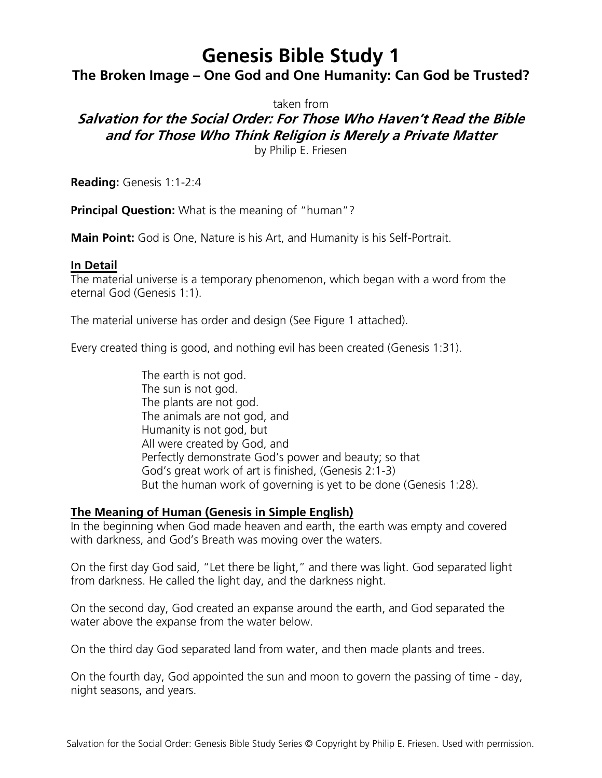# **Genesis Bible Study 1**

## **The Broken Image – One God and One Humanity: Can God be Trusted?**

taken from

# **Salvation for the Social Order: For Those Who Haven't Read the Bible and for Those Who Think Religion is Merely a Private Matter**

by Philip E. Friesen

**Reading:** Genesis 1:1-2:4

**Principal Question:** What is the meaning of "human"?

**Main Point:** God is One, Nature is his Art, and Humanity is his Self-Portrait.

#### **In Detail**

The material universe is a temporary phenomenon, which began with a word from the eternal God (Genesis 1:1).

The material universe has order and design (See Figure 1 attached).

Every created thing is good, and nothing evil has been created (Genesis 1:31).

The earth is not god. The sun is not god. The plants are not god. The animals are not god, and Humanity is not god, but All were created by God, and Perfectly demonstrate God's power and beauty; so that God's great work of art is finished, (Genesis 2:1-3) But the human work of governing is yet to be done (Genesis 1:28).

## **The Meaning of Human (Genesis in Simple English)**

In the beginning when God made heaven and earth, the earth was empty and covered with darkness, and God's Breath was moving over the waters.

On the first day God said, "Let there be light," and there was light. God separated light from darkness. He called the light day, and the darkness night.

On the second day, God created an expanse around the earth, and God separated the water above the expanse from the water below.

On the third day God separated land from water, and then made plants and trees.

On the fourth day, God appointed the sun and moon to govern the passing of time - day, night seasons, and years.